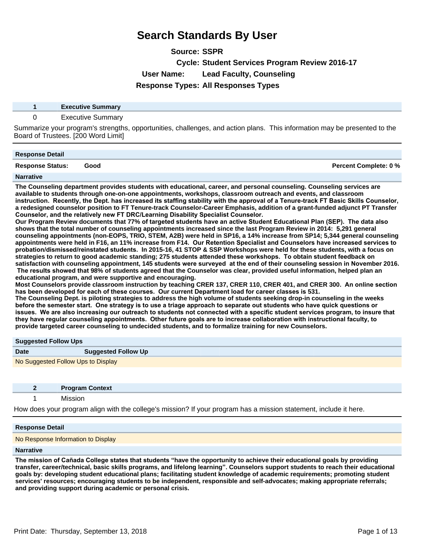**Source: SSPR**

**Cycle: Student Services Program Review 2016-17**

**User Name: Lead Faculty, Counseling**

**Response Types: All Responses Types**

| <b>Executive Summary</b> |
|--------------------------|
| <b>Executive Summary</b> |

Summarize your program's strengths, opportunities, challenges, and action plans. This information may be presented to the Board of Trustees. [200 Word Limit]

| <b>Response Detail</b>  |      |                              |
|-------------------------|------|------------------------------|
| <b>Response Status:</b> | Good | <b>Percent Complete: 0 %</b> |
| <b>Narrative</b>        |      |                              |

**The Counseling department provides students with educational, career, and personal counseling. Counseling services are available to students through one-on-one appointments, workshops, classroom outreach and events, and classroom**  instruction. Recently, the Dept. has increased its staffing stability with the approval of a Tenure-track FT Basic Skills Counselor, **a redesigned counselor position to FT Tenure-track Counselor-Career Emphasis, addition of a grant-funded adjunct PT Transfer**  Counselor, and the relatively new FT DRC/Learning Disability Specialist Counselor.

Our Program Review documents that 77% of targeted students have an active Student Educational Plan (SEP). The data also **shows that the total number of counseling appointments increased since the last Program Review in 20145,291 general counseling appointments (non-EOPS, TRIO, STEM, A2B) were held in SP16, a 14% increase from SP14; 5,344 general counseling**  appointments were held in F16, an 11% increase from F14. Our Retention Specialist and Counselors have increased services to probation/dismissed/reinstated students. In 2015-16, 41 STOP & SSP Workshops were held for these students, with a focus on strategies to return to good academic standing; 275 students attended these workshops. To obtain student feedback on satisfaction with counseling appointment, 145 students were surveyed at the end of their counseling session in November 2016. The results showed that 98% of students agreed that the Counselor was clear, provided useful information, helped plan an **educational program, and were supportive and encouraging.**

Most Counselors provide classroom instruction by teaching CRER 137, CRER 110, CRER 401, and CRER 300. An online section has been developed for each of these courses. Our current Department load for career classes is 531.

**The Counseling Dept. is piloting strategies to address the high volume of students seeking drop-in counseling in the weeks**  before the semester start. One strategy is to use a triage approach to separate out students who have quick questions or **Issues.** We are also increasing our outreach to students not connected with a specific student services program, to insure that they have regular counseling appointments. Other future goals are to increase collaboration with instructional faculty, to **provide targeted career counseling to undecided students, and to formalize training for new Counselors.**

### **Suggested Follow Ups**

| <b>Date</b> | <b>Suggested Follow Up</b>         |  |
|-------------|------------------------------------|--|
|             | No Suggested Follow Ups to Display |  |

| <b>Program Context</b> |  |
|------------------------|--|
|------------------------|--|

1 Mission

How does your program align with the college's mission? If your program has a mission statement, include it here.

### **Response Detail**

No Response Information to Display

### **Narrative**

The mission of Cañada College states that students "have the opportunity to achieve their educational goals by providing **transfer, career/technical, basic skills programs, and lifelong learning´Counselors support students to reach their educational goals by: developing student educational plans; facilitating student knowledge of academic requirements; promoting student services' resources; encouraging students to be independent, responsible and self-advocates; making appropriate referrals; and providing support during academic or personal crisis.**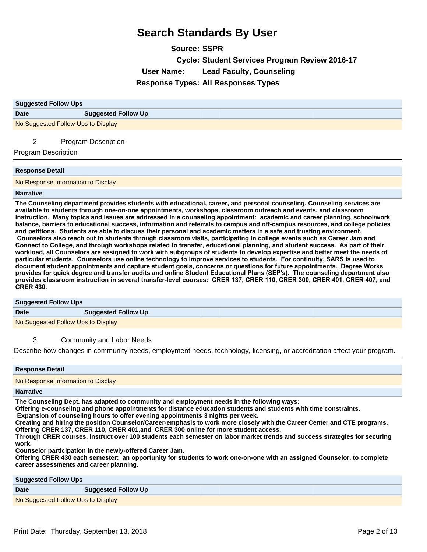**Source: SSPR Cycle: Student Services Program Review 2016-17 User Name: Lead Faculty, Counseling Response Types: All Responses Types**

| <b>Suggested Follow Ups</b>        |                            |  |
|------------------------------------|----------------------------|--|
| <b>Date</b>                        | <b>Suggested Follow Up</b> |  |
| No Suggested Follow Ups to Display |                            |  |
| 2                                  | <b>Program Description</b> |  |

Program Description

#### **Response Detail**

No Response Information to Display

#### **Narrative**

**The Counseling department provides students with educational, career, and personal counseling. Counseling services are available to students through one-on-one appointments, workshops, classroom outreach and events, and classroom**  instruction. Many topics and issues are addressed in a counseling appointment: academic and career planning, school/work **balance, barriers to educational success, information and referrals to campus and off-campus resources, and college policies**  and petitions. Students are able to discuss their personal and academic matters in a safe and trusting environment. Counselors also reach out to students through classroom visits, participating in college events such as Career Jam and Connect to College, and through workshops related to transfer, educational planning, and student success. As part of their **workload, all Counselors are assigned to work with subgroups of students to develop expertise and better meet the needs of**  particular students. Counselors use online technology to improve services to students. For continuity, SARS is used to document student appointments and capture student goals, concerns or questions for future appointments. Degree Works provides for quick degree and transfer audits and online Student Educational Plans (SEP's). The counseling department also provides classroom instruction in several transfer-level courses: CRER 137, CRER 110, CRER 300, CRER 401, CRER 407, and **CRER 430.**

#### **Suggested Follow Ups**

**Date Suggested Follow Up**

No Suggested Follow Ups to Display

3 Community and Labor Needs

Describe how changes in community needs, employment needs, technology, licensing, or accreditation affect your program.

#### **Response Detail**

No Response Information to Display

#### **Narrative**

**The Counseling Dept. has adapted to community and employment needs in the following ways:**

**Offering e-counseling and phone appointments for distance education students and students with time constraints.**

Expansion of counseling hours to offer evening appointments 3 nights per week.

**Creating and hiring the position Counselor/Career-emphasis to work more closely with the Career Center and CTE programs.** Offering CRER 137, CRER 110, CRER 401, and CRER 300 online for more student access.

**Through CRER courses, instruct over 100 students each semester on labor market trends and success strategies for securing work.**

**Counselor participation in the newly-offered Career Jam.**

**Offering CRER 430 each semester: an opportunity for students to work one-on-one with an assigned Counselor, to complete career assessments and career planning.**

## **Suggested Follow Ups**

## **Date Suggested Follow Up**

No Suggested Follow Ups to Display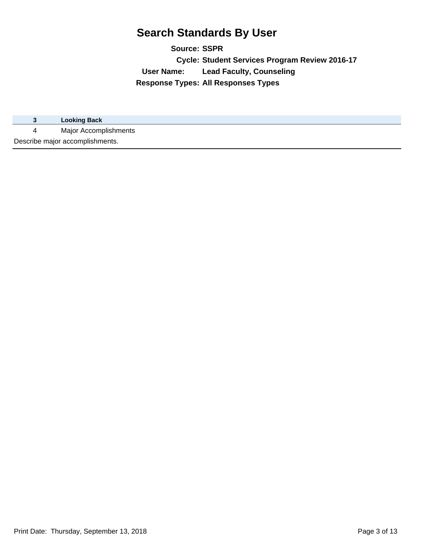**Source: SSPR Cycle: Student Services Program Review 2016-17 User Name: Lead Faculty, Counseling Response Types: All Responses Types**

|                                 | <b>Looking Back</b>   |
|---------------------------------|-----------------------|
| 4                               | Major Accomplishments |
| Describe major accomplishments. |                       |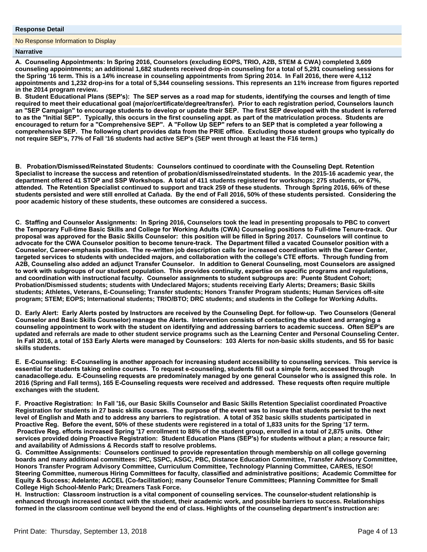#### **Response Detail**

No Response Information to Display

#### **Narrative**

A. Counseling Appointments: In Spring 2016, Counselors (excluding EOPS, TRIO, A2B, STEM & CWA) completed 3,609 **counseling appointments; an additional 1,682 students received drop-in counseling for a total of 5,291 counseling sessions for**  the Spring '16 term. This is a 14% increase in counseling appointments from Spring 2014. In Fall 2016, there were 4,112 **appointments and 1,232 drop-ins for a total of 5,344 counseling sessions. This represents an 11% increase from figures reported in the 2014 program review.**

B. Student Educational Plans (SEP's): The SEP serves as a road map for students, identifying the courses and length of time required to meet their educational goal (major/certificate/degree/transfer). Prior to each registration period, Counselors launch an "SEP Campaign" to encourage students to develop or update their SEP. The first SEP developed with the student is referred to as the "Initial SEP". Typically, this occurs in the first counseling appt. as part of the matriculation process. Students are encouraged to return for a "Comprehensive SEP". A "Follow Up SEP" refers to an SEP that is completed a year following a comprehensive SEP. The following chart provides data from the PRIE office. Excluding those student groups who typically do **not require SEP's, 77% of Fall '16 students had active SEP's (SEP went through at least the F16 term.)**

**B.** Probation/Dismissed/Reinstated Students: Counselors continued to coordinate with the Counseling Dept. Retention Specialist to increase the success and retention of probation/dismissed/reinstated students. In the 2015-16 academic year, the department offered 41 STOP and SSP Workshops. A total of 411 students registered for workshops; 275 students, or 67%, **DEXTLED AT A PROX THE REFERTM SET ASSET ASSET AND THE REFER IN EXAMPLE AND THE REFERENT ASSET ASSET ASSET ARE LEFER** students persisted and were still enrolled at Cañada. By the end of Fall 2016, 50% of these students persisted. Considering the **poor academic history of these students, these outcomes are considered a success.**

**C. Staffing and Counselor Assignments: In Spring 2016, Counselors took the lead in presenting proposals to PBC to convert** the Temporary Full-time Basic Skills and College for Working Adults (CWA) Counseling positions to Full-time Tenure-track. Our proposal was approved for the Basic Skills Counselor: this position will be filled in Spring 2017. Counselors will continue to advocate for the CWA Counselor position to become tenure-track. The Department filled a vacated Counselor position with a Counselor, Career-emphasis position. The re-written job description calls for increased coordination with the Career Center, targeted services to students with undecided majors, and collaboration with the college's CTE efforts. Through funding from A2B, Counseling also added an adjunct Transfer Counselor. In addition to General Counseling, most Counselors are assigned to work with subgroups of our student population. This provides continuity, expertise on specific programs and regulations, and coordination with instructional faculty. Counselor assignments to student subgroups are: Puente Student Cohort; **Probation/Dismissed students; students with Undeclared Majors; students receiving Early Alerts; Dreamers; Basic Skills students; Athletes, Veterans, E-Counseling; Transfer students; Honors Transfer Program students; Human Services off-site program; STEM; EOPS; International students; TRIO/BTO; DRC students; and students in the College for Working Adults.**

D. Early Alert: Early Alerts posted by Instructors are received by the Counseling Dept. for follow-up. Two Counselors (General Counselor and Basic Skills Counselor) manage the Alerts. Intervention consists of contacting the student and arranging a counseling appointment to work with the student on identifying and addressing barriers to academic success. Often SEP's are **updated and referrals are made to other student service programs such as the Learning Center and Personal Counseling Center.**  In Fall 2016, a total of 153 Early Alerts were managed by Counselors: 103 Alerts for non-basic skills students, and 55 for basic **skills students.**

E. E-Counseling: E-Counseling is another approach for increasing student accessibility to counseling services. This service is essential for students taking online courses. To request e-counseling, students fill out a simple form, accessed through canadacollege.edu. E-Counseling requests are predominately managed by one general Counselor who is assigned this role. In 2016 (Spring and Fall terms), 165 E-Counseling requests were received and addressed. These requests often require multiple **exchanges with the student.**

F. Proactive Registration: In Fall '16, our Basic Skills Counselor and Basic Skills Retention Specialist coordinated Proactive Registration for students in 27 basic skills courses. The purpose of the event was to insure that students persist to the next level of English and Math and to address any barriers to registration. A total of 352 basic skills students participated in Proactive Reg. Before the event, 50% of these students were registered in a total of 1,833 units for the Spring '17 term. **Proactive Reg. efforts increased Spring '17 enrollment to 88% of the student group, enrolled in a total of 2,875 units. Other** services provided doing Proactive Registration: Student Education Plans (SEP's) for students without a plan; a resource fair; **and availability of Admissions & Records staff to resolve problems.**

G. Committee Assignments: Counselors continued to provide representation through membership on all college governing **boards and many additional committees: IPC, SSPC, ASGC, PBC, Distance Education Committee, Transfer Advisory Committee, Honors Transfer Program Advisory Committee, Curriculum Committee, Technology Planning Committee, CARES, !ESO!**  Steering Committee, numerous Hiring Committees for faculty, classified and administrative positions; Academic Committee for Equity & Success; Adelante; ACCEL (Co-facilitation); many Counselor Tenure Committees; Planning Committee for Small **College High School-Menlo Park; Dreamers Task Force.**

H. Instruction: Classroom instruction is a vital component of counseling services. The counselor-student relationship is **enhanced through increased contact with the student, their academic work, and possible barriers to success. Relationships**  formed in the classroom continue well beyond the end of class. Highlights of the counseling department's instruction are: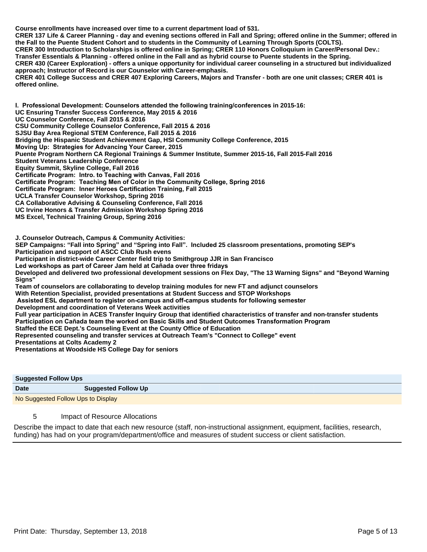**Course enrollments have increased over time to a current department load of 531. CRER 137 Life & Career Planning - day and evening sections offered in Fall and Spring; offered online in the Summer; offered in the Fall to the Puente Student Cohort and to students in the Community of Learning Through Sports (COLTS). CRER 300 Introduction to Scholarships is offered online in Spring; CRER 110 Honors Colloquium in Career/Personal Dev.: Transfer Essentials & Planning - offered online in the Fall and as hybrid course to Puente students in the Spring. CRER 430 (Career Exploration) - offers a unique opportunity for individual career counseling in a structured but individualized approach; Instructor of Record is our Counselor with Career-emphasis. CRER 401 College Success and CRER 407 Exploring Careers, Majors and Transfer - both are one unit classes; CRER 401 is offered online.**

**1. Professional Development: Counselors attended the following training/conferences in 2015-16: UC Ensuring Transfer Success Conference, May 2015 & 2016 UC Counselor Conference, Fall 2015 & 2016 CSU Community College Counselor Conference, Fall 2015 & 2016 SJSU Bay Area Regional STEM Conference, Fall 2015 & 2016 Bridging the Hispanic Student Achievement Gap, HSI Community College Conference, 2015 Moving Up: Strategies for Advancing Your Career, 2015 Puente Program Northern CA Regional Trainings & Summer Institute, Summer 2015-16, Fall 2015-Fall 2016 Student Veterans Leadership Conference Equity Summit, Skyline College, Fall 2016 Certificate Program: Intro. to Teaching with Canvas, Fall 2016 Certificate Program: Teaching Men of Color in the Community College, Spring 2016 Certificate Program: Inner Heroes Certification Training, Fall 2015 UCLA Transfer Counselor Workshop, Spring 2016 CA Collaborative Advising & Counseling Conference, Fall 2016 UC Irvine Honors & Transfer Admission Workshop Spring 2016 MS Excel, Technical Training Group, Spring 2016**

**J. Counselor Outreach, Campus & Community Activities:**

**SEP Campaigns: "Fall into Spring" and "Spring into Fall". Included 25 classroom presentations, promoting SEP's Participation and support of ASCC Club Rush evens**

**Participant in district-wide Career Center field trip to Smithgroup JJR in San Francisco**

Led workshops as part of Career Jam held at Cañada over three fridays

**Developed and delivered two professional development sessions on Flex Day, "The 13 Warning Signs" and "Beyond Warning Signs"**

**Team of counselors are collaborating to develop training modules for new FT and adjunct counselors**

**With Retention Specialist, provided presentations at Student Success and STOP Workshops**

Assisted ESL department to register on-campus and off-campus students for following semester

**Development and coordination of Veterans Week activities**

**Full year participation in ACES Transfer Inquiry Group that identified characteristics of transfer and non-transfer students** Participation on Cañada team the worked on Basic Skills and Student Outcomes Transformation Program

**Staffed the ECE Dept.'s Counseling Event at the County Office of Education**

**Represented counseling and transfer services at Outreach Team's "Connect to College" event**

**Presentations at Colts Academy 2**

**Presentations at Woodside HS College Day for seniors**

| <b>Suggested Follow Ups</b>        |                            |  |
|------------------------------------|----------------------------|--|
| <b>Date</b>                        | <b>Suggested Follow Up</b> |  |
| No Suggested Follow Ups to Display |                            |  |

### 5 Impact of Resource Allocations

Describe the impact to date that each new resource (staff, non-instructional assignment, equipment, facilities, research, funding) has had on your program/department/office and measures of student success or client satisfaction.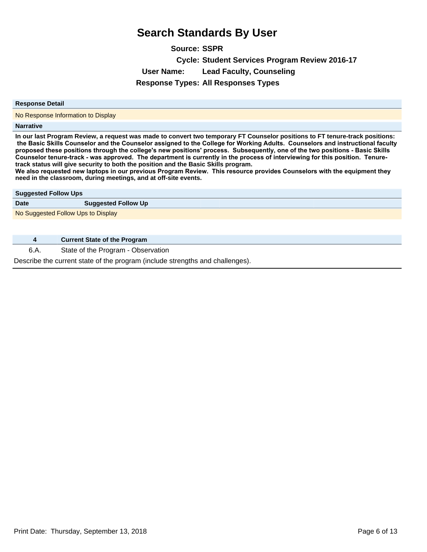**Source: SSPR Cycle: Student Services Program Review 2016-17 User Name: Lead Faculty, Counseling Response Types: All Responses Types**

#### **Response Detail**

No Response Information to Display

### **Narrative**

**In our last Program Review, a request was made to convert two temporary FT Counselor positions to FT tenure-track positions:**  the Basic Skills Counselor and the Counselor assigned to the College for Working Adults. Counselors and instructional faculty proposed these positions through the college's new positions' process. Subsequently, one of the two positions - Basic Skills Counselor tenure-track - was approved. The department is currently in the process of interviewing for this position. Tenure**track status will give security to both the position and the Basic Skills program.**

We also requested new laptops in our previous Program Review. This resource provides Counselors with the equipment they **need in the classroom, during meetings, and at off-site events.**

| <b>Suggested Follow Ups</b>        |                                     |  |
|------------------------------------|-------------------------------------|--|
| <b>Date</b>                        | <b>Suggested Follow Up</b>          |  |
| No Suggested Follow Ups to Display |                                     |  |
|                                    |                                     |  |
| д                                  | <b>Current State of the Program</b> |  |

6.A. State of the Program - Observation

Describe the current state of the program (include strengths and challenges).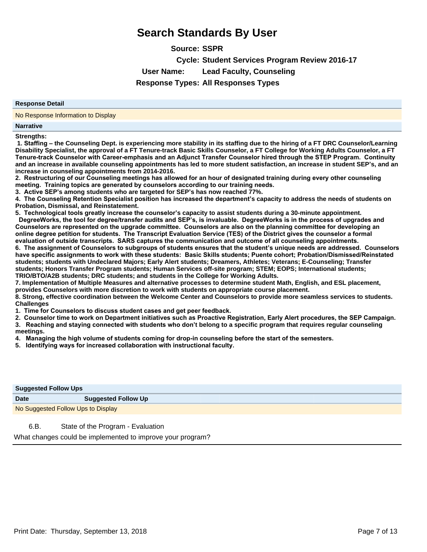**Source: SSPR Cycle: Student Services Program Review 2016-17 User Name: Lead Faculty, Counseling Response Types: All Responses Types**

#### **Response Detail**

No Response Information to Display

#### **Narrative**

**Strengths:**

**1. Staffing – the Counseling Dept. is experiencing more stability in its staffing due to the hiring of a FT DRC Counselor/Learning Disability Specialist, the approval of a FT Tenure-track Basic Skills Counselor, a FT College for Working Adults Counselor, a FT**  Tenure-track Counselor with Career-emphasis and an Adjunct Transfer Counselor hired through the STEP Program. Continuity **and an increase in available counseling appointments has led to more student satisfaction, an increase in student SEP¶s, and an increase in counseling appointments from 2014-2016.** 

2. Restructuring of our Counseling meetings has allowed for an hour of designated training during every other counseling meeting. Training topics are generated by counselors according to our training needs.

**3. Active SEP**'s among students who are targeted for SEP's has now reached 77%.

**4. The Counseling Retention Specialist position has increased the department's capacity to address the needs of students on Probation, Dismissal, and Reinstatement.** 

**5**. Technological tools greatly increase the counselor's capacity to assist students during a 30-minute appointment.

DegreeWorks, the tool for degree/transfer audits and SEP's, is invaluable. DegreeWorks is in the process of upgrades and Counselors are represented on the upgrade committee. Counselors are also on the planning committee for developing an online degree petition for students. The Transcript Evaluation Service (TES) of the District gives the counselor a formal evaluation of outside transcripts. SARS captures the communication and outcome of all counseling appointments.

6. The assignment of Counselors to subgroups of students ensures that the student's unique needs are addressed. Counselors have specific assignments to work with these students: Basic Skills students; Puente cohort; Probation/Dismissed/Reinstated **students; students with Undeclared Majors; Early Alert students; Dreamers, Athletes; Veterans; E-Counseling; Transfer students; Honors Transfer Program students; Human Services off-site program; STEM; EOPS; International students; TRIO/BTO/A2B students; DRC students; and students in the College for Working Adults.**

**7. Implementation of Multiple Measures and alternative processes to determine student Math, English, and ESL placement, provides Counselors with more discretion to work with students on appropriate course placement.**

**8. Strong, effective coordination between the Welcome Center and Counselors to provide more seamless services to students. Challenges** 

1. Time for Counselors to discuss student cases and get peer feedback.

2. Counselor time to work on Department initiatives such as Proactive Registration, Early Alert procedures, the SEP Campaign. 3. Reaching and staying connected with students who don't belong to a specific program that requires regular counseling **meetings.** 

**4.** Managing the high volume of students coming for drop-in counseling before the start of the semesters.

5. Identifying ways for increased collaboration with instructional faculty.

| <b>Suggested Follow Ups</b>        |                            |
|------------------------------------|----------------------------|
| <b>Date</b>                        | <b>Suggested Follow Up</b> |
| No Suggested Follow Ups to Display |                            |
|                                    |                            |

6.B. State of the Program - Evaluation

What changes could be implemented to improve your program?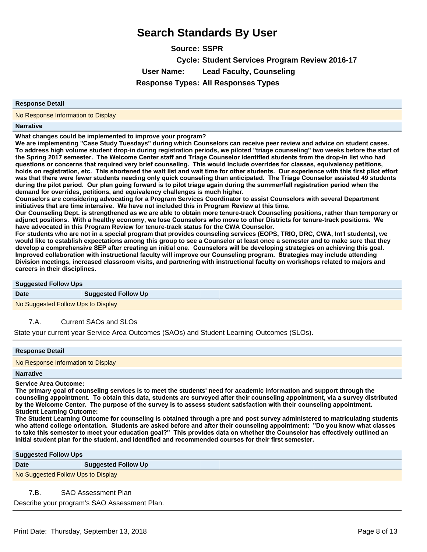**Source: SSPR Cycle: Student Services Program Review 2016-17 User Name: Lead Faculty, Counseling Response Types: All Responses Types**

#### **Response Detail**

No Response Information to Display

#### **Narrative**

**What changes could be implemented to improve your program?**

**We are implementing "Case Study Tuesdays" during which Counselors can receive peer review and advice on student cases. To address high volume student drop-in during registration periods, we piloted "triage counseling" two weeks before the start of**  the Spring 2017 semester. The Welcome Center staff and Triage Counselor identified students from the drop-in list who had questions or concerns that required very brief counseling. This would include overrides for classes, equivalency petitions, holds on registration, etc. This shortened the wait list and wait time for other students. Our experience with this first pilot effort **was that there were fewer students needing only quick counseling than anticipated. The Triage Counselor assisted 49 students** during the pilot period. Our plan going forward is to pilot triage again during the summer/fall registration period when the **demand for overrides, petitions, and equivalency challenges is much higher.**

**Counselors are considering advocating for a Program Services Coordinator to assist Counselors with several Department Initiatives that are time intensive. We have not included this in Program Review at this time.** 

**Our Counseling Dept. is strengthened as we are able to obtain more tenure-track Counseling positions, rather than temporary or**  adjunct positions. With a healthy economy, we lose Counselors who move to other Districts for tenure-track positions. We **have advocated in this Program Review for tenure-track status for the CWA Counselor.**

**For students who are not in a special program that provides counseling services (EOPS, TRIO, DRC, CWA, Int'l students), we would like to establish expectations among this group to see a Counselor at least once a semester and to make sure that they**  develop a comprehensive SEP after creating an initial one. Counselors will be developing strategies on achieving this goal. Improved collaboration with instructional faculty will improve our Counseling program. Strategies may include attending **Division meetings, increased classroom visits, and partnering with instructional faculty on workshops related to majors and careers in their disciplines.**

#### **Suggested Follow Ups**

**Date Suggested Follow Up** 

No Suggested Follow Ups to Display

7.A. Current SAOs and SLOs

State your current year Service Area Outcomes (SAOs) and Student Learning Outcomes (SLOs).

#### **Response Detail**

No Response Information to Display

#### **Narrative**

**Service Area Outcome:**

**The primary goal of counseling services is to meet the students' need for academic information and support through the**  counseling appointment. To obtain this data, students are surveyed after their counseling appointment, via a survey distributed by the Welcome Center. The purpose of the survey is to assess student satisfaction with their counseling appointment. **Student Learning Outcome:**

**The Student Learning Outcome for counseling is obtained through a pre and post survey administered to matriculating students**  who attend college orientation. Students are asked before and after their counseling appointment: "Do you know what classes to take this semester to meet your education goal?" This provides data on whether the Counselor has effectively outlined an  $l$  initial student plan for the student, and identified and recommended courses for their first semester.

**Suggested Follow Ups**

| Date | <b>Suggested Follow Up</b> |
|------|----------------------------|
|      |                            |

No Suggested Follow Ups to Display

7.B. SAO Assessment Plan

Describe your program's SAO Assessment Plan.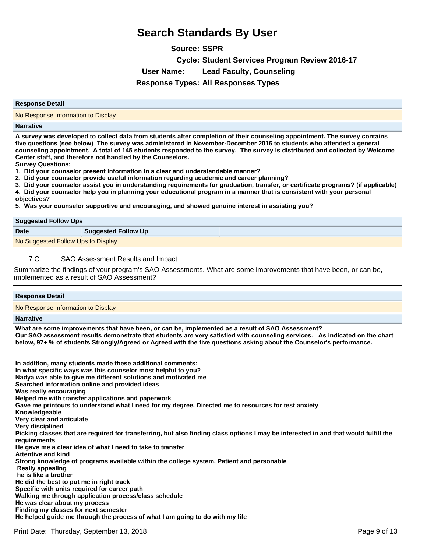**Source: SSPR Cycle: Student Services Program Review 2016-17 User Name: Lead Faculty, Counseling Response Types: All Responses Types**

#### **Response Detail**

No Response Information to Display

#### **Narrative**

**A survey was developed to collect data from students after completion of their counseling appointment. The survey contains**  five questions (see below) The survey was administered in November-December 2016 to students who attended a general counseling appointment. A total of 145 students responded to the survey. The survey is distributed and collected by Welcome **Center staff, and therefore not handled by the Counselors.**

**Survey Questions:**

**1. Did your counselor present information in a clear and understandable manner?** 

2. Did your counselor provide useful information regarding academic and career planning?

3. Did your counselor assist you in understanding requirements for graduation, transfer, or certificate programs? (if applicable) 4. Did your counselor help you in planning your educational program in a manner that is consistent with your personal

**objectives?**

5. Was your counselor supportive and encouraging, and showed genuine interest in assisting you?

| <b>Suggested Follow Ups</b>        |                            |  |
|------------------------------------|----------------------------|--|
| <b>Date</b>                        | <b>Suggested Follow Up</b> |  |
| No Suggested Follow Ups to Display |                            |  |

### 7.C. SAO Assessment Results and Impact

Summarize the findings of your program's SAO Assessments. What are some improvements that have been, or can be, implemented as a result of SAO Assessment?

# **Response Detail**

No Response Information to Display

#### **Narrative**

**What are some improvements that have been, or can be, implemented as a result of SAO Assessment?**  Our SAO assessment results demonstrate that students are very satisfied with counseling services. As indicated on the chart **below, 97+ % of students Strongly/Agreed or Agreed with the five questions asking about the Counselor's performance.**

In addition, many students made these additional comments: **In what specific ways was this counselor most helpful to you? Nadya was able to give me different solutions and motivated me Searched information online and provided ideas Was really encouraging Helped me with transfer applications and paperwork Gave me printouts to understand what I need for my degree. Directed me to resources for test anxiety Knowledgeable Very clear and articulate Very disciplined Picking classes that are required for transferring, but also finding class options I may be interested in and that would fulfill the requirements He gave me a clear idea of what I need to take to transfer Attentive and kind Strong knowledge of programs available within the college system. Patient and personable Really appealing** he is like a brother **He did the best to put me in right track Specific with units required for career path Walking me through application process/class schedule He was clear about my process Finding my classes for next semester He helped guide me through the process of what I am going to do with my life**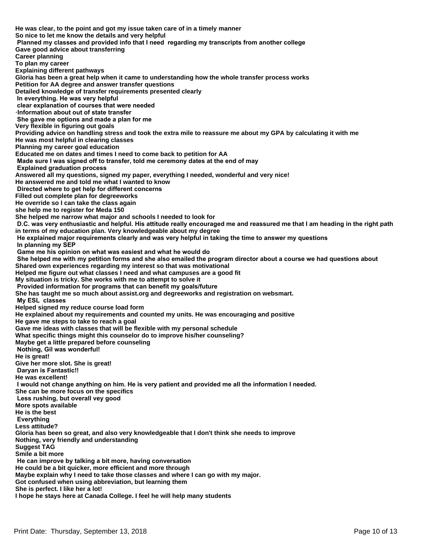**He was clear, to the point and got my issue taken care of in a timely manner So nice to let me know the details and very helpful** Planned my classes and provided info that I need regarding my transcripts from another college **Gave good advice about transferring Career planning To plan my career Explaining different pathways Gloria has been a great help when it came to understanding how the whole transfer process works Petition for AA degree and answer transfer questions Detailed knowledge of transfer requirements presented clearly** In everything. He was very helpful clear explanation of courses that were needed Information about out of state transfer She gave me options and made a plan for me **Very flexible in figuring out goals Providing advice on handling stress and took the extra mile to reassure me about my GPA by calculating it with me He was most helpful in clearing classes Planning my career goal education Educated me on dates and times I need to come back to petition for AA** Made sure I was signed off to transfer, told me ceremony dates at the end of may **Explained graduation process Answered all my questions, signed my paper, everything I needed, wonderful and very nice! He answered me and told me what I wanted to know** Directed where to get help for different concerns **Filled out complete plan for degreeworks He override so I can take the class again she help me to register for Meda 150 She helped me narrow what major and schools I needed to look for** D.C. was very enthusiastic and helpful. His attitude really encouraged me and reassured me that I am heading in the right path **in terms of my education plan. Very knowledgeable about my degree** He explained major requirements clearly and was very helpful in taking the time to answer my questions In planning my SEP Game me his opinion on what was easiest and what he would do She helped me with my petition forms and she also emailed the program director about a course we had questions about **Shared own experiences regarding my interest so that was motivational Helped me figure out what classes I need and what campuses are a good fit My situation is tricky. She works with me to attempt to solve it** Provided information for programs that can benefit my goals/future **She has taught me so much about assist.org and degreeworks and registration on websmart. My ESL classes Helped signed my reduce course load form He explained about my requirements and counted my units. He was encouraging and positive He gave me steps to take to reach a goal Gave me ideas with classes that will be flexible with my personal schedule What specific things might this counselor do to improve his/her counseling? Maybe get a little prepared before counseling Nothing, Gil was wonderful! He is great! Give her more slot. She is great! Daryan is Fantastic!! He was excellent!** I would not change anything on him. He is very patient and provided me all the information I needed. **She can be more focus on the specifics** Less rushing, but overall vey good **More spots available He is the best Everything Less attitude? Gloria has been so great, and also very knowledgeable that I don't think she needs to improve Nothing, very friendly and understanding Suggest TAG Smile a bit more** He can improve by talking a bit more, having conversation **He could be a bit quicker, more efficient and more through Maybe explain why I need to take those classes and where I can go with my major. Got confused when using abbreviation, but learning them She is perfect. I like her a lot! I hope he stays here at Canada College. I feel he will help many students**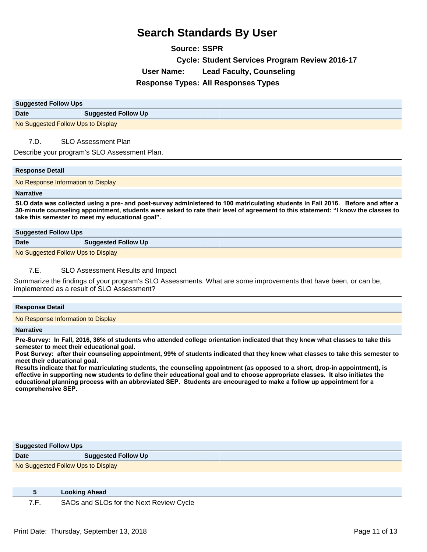**Source: SSPR Cycle: Student Services Program Review 2016-17 User Name: Lead Faculty, Counseling Response Types: All Responses Types**

| <b>Suggested Follow Ups</b>        |                            |  |
|------------------------------------|----------------------------|--|
| <b>Date</b>                        | <b>Suggested Follow Up</b> |  |
| No Suggested Follow Ups to Display |                            |  |

7.D. SLO Assessment Plan

Describe your program's SLO Assessment Plan.

#### **Response Detail**

No Response Information to Display

#### **Narrative**

SLO data was collected using a pre- and post-survey administered to 100 matriculating students in Fall 2016. Before and after a **30-minute counseling appointment, students were asked to rate their level of agreement to this statement: ³I know the classes to take this semester to meet my educational goal´**

| <b>Suggested Follow Ups</b>                                                                                                                                                                                                                                                                      |                            |
|--------------------------------------------------------------------------------------------------------------------------------------------------------------------------------------------------------------------------------------------------------------------------------------------------|----------------------------|
| <b>Date</b>                                                                                                                                                                                                                                                                                      | <b>Suggested Follow Up</b> |
| $\mathbf{A}$ and $\mathbf{A}$ and $\mathbf{A}$ and $\mathbf{A}$ and $\mathbf{A}$ and $\mathbf{A}$ and $\mathbf{A}$ and $\mathbf{A}$ and $\mathbf{A}$ and $\mathbf{A}$ and $\mathbf{A}$ and $\mathbf{A}$ and $\mathbf{A}$ and $\mathbf{A}$ and $\mathbf{A}$ and $\mathbf{A}$ and $\mathbf{A}$ and |                            |

No Suggested Follow Ups to Display

### 7.E. SLO Assessment Results and Impact

Summarize the findings of your program's SLO Assessments. What are some improvements that have been, or can be, implemented as a result of SLO Assessment?

| <b>Response Detail</b>             |  |
|------------------------------------|--|
| No Response Information to Display |  |

**Narrative**

Pre-Survey: In Fall, 2016, 36% of students who attended college orientation indicated that they knew what classes to take this **semester to meet their educational goal.** 

Post Survey: after their counseling appointment, 99% of students indicated that they knew what classes to take this semester to **meet their educational goal.** 

**Results indicate that for matriculating students, the counseling appointment (as opposed to a short, drop-in appointment), is**  effective in supporting new students to define their educational goal and to choose appropriate classes. It also initiates the educational planning process with an abbreviated SEP. Students are encouraged to make a follow up appointment for a comprehensive SEP.

| <b>Suggested Follow Ups</b>        |                            |  |
|------------------------------------|----------------------------|--|
| <b>Date</b>                        | <b>Suggested Follow Up</b> |  |
| No Suggested Follow Ups to Display |                            |  |

| <b>Looking Ahead</b>                    |  |
|-----------------------------------------|--|
| SAOs and SLOs for the Next Review Cycle |  |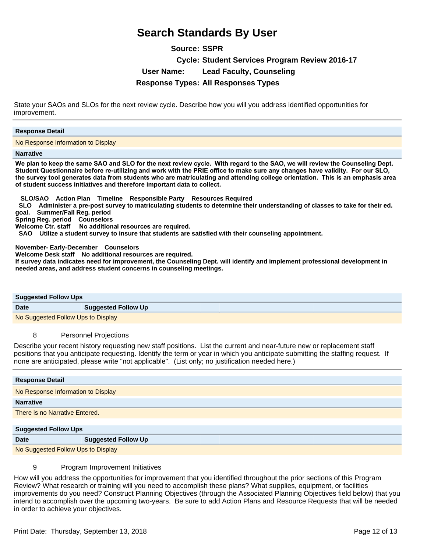**Source: SSPR Cycle: Student Services Program Review 2016-17 User Name: Lead Faculty, Counseling Response Types: All Responses Types**

State your SAOs and SLOs for the next review cycle. Describe how you will you address identified opportunities for improvement.

### **Response Detail**

No Response Information to Display

#### **Narrative**

We plan to keep the same SAO and SLO for the next review cycle. With regard to the SAO, we will review the Counseling Dept. Student Questionnaire before re-utilizing and work with the PRIE office to make sure any changes have validity. For our SLO, the survey tool generates data from students who are matriculating and attending college orientation. This is an emphasis area **of student success initiatives and therefore important data to collect.** 

 **SLO/SAO Action Plan Timeline Responsible Party Resources Required** 

 **SLO Administer a pre-post survey to matriculating students to determine their understanding of classes to take for their ed. goal. Summer/Fall Reg. period**

**Spring Reg. period Counselors**

Welcome Ctr. staff No additional resources are required.

 **SAO Utilize a student survey to insure that students are satisfied with their counseling appointment.** 

**November- Early-December Counselors** 

**Welcome Desk staff No additional resources are required.** 

**If survey data indicates need for improvement, the Counseling Dept. will identify and implement professional development in needed areas, and address student concerns in counseling meetings.**

| <b>Suggested Follow Ups</b>        |                            |
|------------------------------------|----------------------------|
| <b>Date</b>                        | <b>Suggested Follow Up</b> |
| No Suggested Follow Ups to Display |                            |

### 8 Personnel Projections

Describe your recent history requesting new staff positions. List the current and near-future new or replacement staff positions that you anticipate requesting. Identify the term or year in which you anticipate submitting the staffing request. If none are anticipated, please write "not applicable". (List only; no justification needed here.)

| <b>Response Detail</b>             |                            |
|------------------------------------|----------------------------|
| No Response Information to Display |                            |
| <b>Narrative</b>                   |                            |
| There is no Narrative Entered.     |                            |
|                                    |                            |
| <b>Suggested Follow Ups</b>        |                            |
| <b>Date</b>                        | <b>Suggested Follow Up</b> |

No Suggested Follow Ups to Display

9 Program Improvement Initiatives

How will you address the opportunities for improvement that you identified throughout the prior sections of this Program Review? What research or training will you need to accomplish these plans? What supplies, equipment, or facilities improvements do you need? Construct Planning Objectives (through the Associated Planning Objectives field below) that you intend to accomplish over the upcoming two-years. Be sure to add Action Plans and Resource Requests that will be needed in order to achieve your objectives.